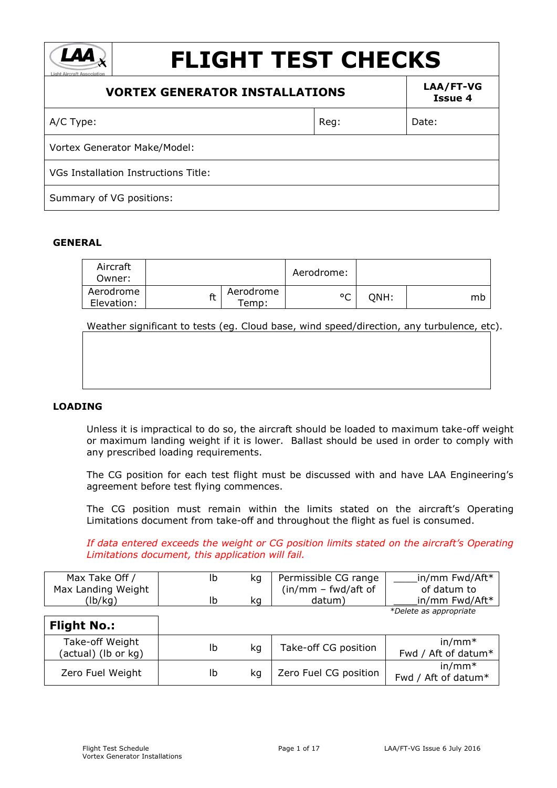| <b>FLIGHT TEST CHECKS</b><br><b>Light Aircraft Association</b> |      |                      |  |
|----------------------------------------------------------------|------|----------------------|--|
| <b>VORTEX GENERATOR INSTALLATIONS</b>                          |      | LAA/FT-VG<br>Issue 4 |  |
| A/C Type:                                                      | Reg: | Date:                |  |
| <b>Vortex Generator Make/Model:</b>                            |      |                      |  |
| <b>VGs Installation Instructions Title:</b>                    |      |                      |  |
| Summary of VG positions:                                       |      |                      |  |

#### **GENERAL**

| Aircraft<br>Owner:      |    |                   | Aerodrome: |      |    |
|-------------------------|----|-------------------|------------|------|----|
| Aerodrome<br>Elevation: | ft | Aerodrome<br>emp: | $\circ$    | ONH: | mb |

Weather significant to tests (eg. Cloud base, wind speed/direction, any turbulence, etc).

# **LOADING**

Unless it is impractical to do so, the aircraft should be loaded to maximum take-off weight or maximum landing weight if it is lower. Ballast should be used in order to comply with any prescribed loading requirements.

The CG position for each test flight must be discussed with and have LAA Engineering's agreement before test flying commences.

The CG position must remain within the limits stated on the aircraft's Operating Limitations document from take-off and throughout the flight as fuel is consumed.

*If data entered exceeds the weight or CG position limits stated on the aircraft's Operating Limitations document, this application will fail.*

| Max Take Off /     | Ib |    | Permissible CG range  | in/mm Fwd/Aft*         |
|--------------------|----|----|-----------------------|------------------------|
| Max Landing Weight |    |    | $(in/mm - fwd/aff of$ | of datum to            |
| 'lb/kg)            |    | ka | datum,                | in/mm Fwd/Aft*         |
|                    |    |    |                       | *Delete as appropriate |

**Flight No.:** Take-off Weight (actual) (lb or kg)  $\begin{array}{c|c|c|c|c|c} \text{lb} & \text{kg} & \text{Take-off CG position} & \text{fund to } & \text{fund to } & \text{fund to } & \text{fund to } & \text{fund to } & \text{fund to } & \text{fund to } & \text{fund to } & \text{fund to } & \text{fund to } & \text{fund to } & \text{fund to } & \text{fund to } & \text{fund to } & \text{fund to } & \text{fund to } & \text{fund to } & \text{fund to } & \text{fund to } & \text{fund to } & \text{fund to } & \text{fund to } & \text{fund to$ Fwd / Aft of datum\* Zero Fuel Weight | lb kg | Zero Fuel CG position in/mm\* Fwd / Aft of datum\*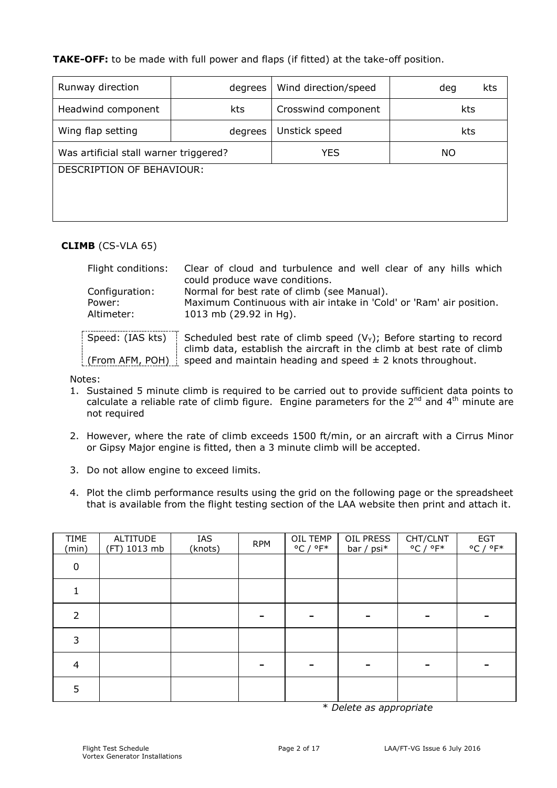**TAKE-OFF:** to be made with full power and flaps (if fitted) at the take-off position.

| Runway direction                       | degrees | Wind direction/speed | kts<br>deg |  |
|----------------------------------------|---------|----------------------|------------|--|
| Headwind component<br>kts              |         | Crosswind component  | kts        |  |
| Wing flap setting                      | degrees | Unstick speed        | kts        |  |
| Was artificial stall warner triggered? |         | YES                  | <b>NO</b>  |  |
| DESCRIPTION OF BEHAVIOUR:              |         |                      |            |  |
|                                        |         |                      |            |  |
|                                        |         |                      |            |  |

# **CLIMB** (CS-VLA 65)

| Flight conditions:  | Clear of cloud and turbulence and well clear of any hills which        |
|---------------------|------------------------------------------------------------------------|
|                     | could produce wave conditions.                                         |
| Configuration:      | Normal for best rate of climb (see Manual).                            |
| Power:              | Maximum Continuous with air intake in 'Cold' or 'Ram' air position.    |
| Altimeter:          | 1013 mb (29.92 in Hg).                                                 |
|                     |                                                                        |
| Speed: (IAS kts)    | Scheduled best rate of climb speed $(V_Y)$ ; Before starting to record |
|                     | climb data, establish the aircraft in the climb at best rate of climb  |
| : (From AFM, POH) : | speed and maintain heading and speed $\pm$ 2 knots throughout.         |

Notes:

- 1. Sustained 5 minute climb is required to be carried out to provide sufficient data points to calculate a reliable rate of climb figure. Engine parameters for the  $2^{nd}$  and  $4^{th}$  minute are not required
- 2. However, where the rate of climb exceeds 1500 ft/min, or an aircraft with a Cirrus Minor or Gipsy Major engine is fitted, then a 3 minute climb will be accepted.
- 3. Do not allow engine to exceed limits.
- 4. Plot the climb performance results using the grid on the following page or the spreadsheet that is available from the flight testing section of the LAA website then print and attach it.

| <b>TIME</b><br>(min) | <b>ALTITUDE</b><br>(FT) 1013 mb | IAS<br>(knots) | <b>RPM</b> | OIL TEMP<br>$^{\circ}$ C / $^{\circ}$ F* | OIL PRESS<br>bar / psi* | CHT/CLNT<br>$^{\circ}$ C / $^{\circ}$ F* | <b>EGT</b><br>$^{\circ}$ C / $^{\circ}$ F* |
|----------------------|---------------------------------|----------------|------------|------------------------------------------|-------------------------|------------------------------------------|--------------------------------------------|
| $\mathbf 0$          |                                 |                |            |                                          |                         |                                          |                                            |
|                      |                                 |                |            |                                          |                         |                                          |                                            |
| 2                    |                                 |                |            |                                          |                         |                                          |                                            |
| 3                    |                                 |                |            |                                          |                         |                                          |                                            |
| 4                    |                                 |                |            |                                          |                         |                                          |                                            |
| 5                    |                                 |                |            |                                          |                         |                                          |                                            |

\* *Delete as appropriate*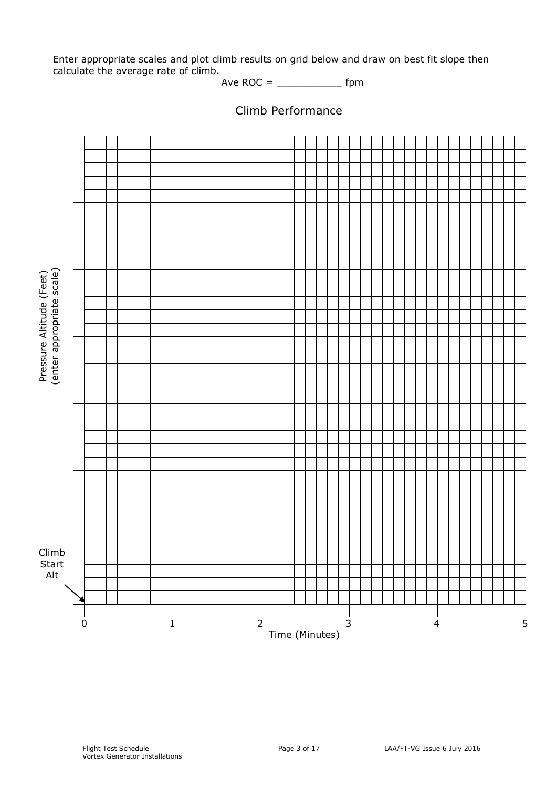Enter appropriate scales and plot climb results on grid below and draw on best fit slope then calculate the average rate of climb.

Ave ROC = \_\_\_\_\_\_\_\_\_\_\_ fpm

Climb Performance

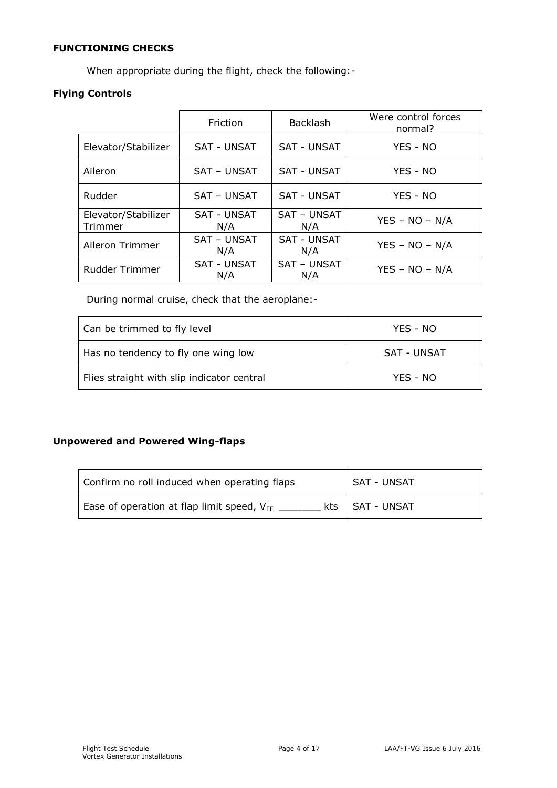# **FUNCTIONING CHECKS**

When appropriate during the flight, check the following:-

# **Flying Controls**

|                                | Friction                  | <b>Backlash</b>           | Were control forces<br>normal? |
|--------------------------------|---------------------------|---------------------------|--------------------------------|
| Elevator/Stabilizer            | <b>SAT - UNSAT</b>        | <b>SAT - UNSAT</b>        | YES - NO                       |
| Aileron                        | <b>SAT - UNSAT</b>        | <b>SAT - UNSAT</b>        | YES - NO                       |
| Rudder                         | SAT - UNSAT               | <b>SAT - UNSAT</b>        | YES - NO                       |
| Elevator/Stabilizer<br>Trimmer | <b>SAT - UNSAT</b><br>N/A | SAT - UNSAT<br>N/A        | $YES - NO - N/A$               |
| Aileron Trimmer                | <b>SAT - UNSAT</b><br>N/A | <b>SAT - UNSAT</b><br>N/A | $YES - NO - N/A$               |
| <b>Rudder Trimmer</b>          | <b>SAT - UNSAT</b><br>N/A | SAT - UNSAT<br>N/A        | $YES - NO - N/A$               |

During normal cruise, check that the aeroplane:-

| Can be trimmed to fly level                | YES - NO    |
|--------------------------------------------|-------------|
| Has no tendency to fly one wing low        | SAT - UNSAT |
| Flies straight with slip indicator central | YES - NO    |

# **Unpowered and Powered Wing-flaps**

| Confirm no roll induced when operating flaps    | ' SAT - UNSAT     |
|-------------------------------------------------|-------------------|
| Ease of operation at flap limit speed, $V_{FE}$ | kts   SAT - UNSAT |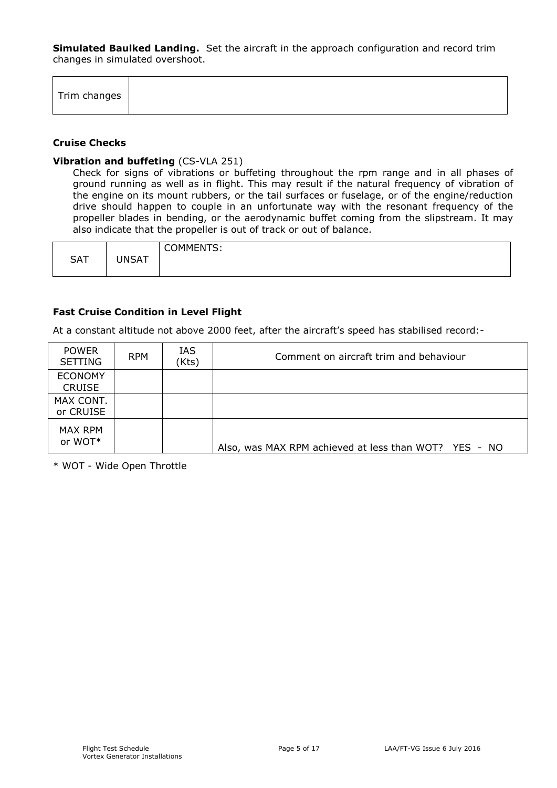**Simulated Baulked Landing.** Set the aircraft in the approach configuration and record trim changes in simulated overshoot.

# **Cruise Checks**

 $\Gamma$ 

#### **Vibration and buffeting** (CS-VLA 251)

 $\overline{\mathsf{T}}$ 

Check for signs of vibrations or buffeting throughout the rpm range and in all phases of ground running as well as in flight. This may result if the natural frequency of vibration of the engine on its mount rubbers, or the tail surfaces or fuselage, or of the engine/reduction drive should happen to couple in an unfortunate way with the resonant frequency of the propeller blades in bending, or the aerodynamic buffet coming from the slipstream. It may also indicate that the propeller is out of track or out of balance.

|            |              | COMMENTS: |
|------------|--------------|-----------|
| <b>SAT</b> | <b>UNSAT</b> |           |
|            |              |           |

## **Fast Cruise Condition in Level Flight**

At a constant altitude not above 2000 feet, after the aircraft's speed has stabilised record:-

| <b>POWER</b><br><b>SETTING</b>  | <b>RPM</b> | IAS<br>(Kts) | Comment on aircraft trim and behaviour                |
|---------------------------------|------------|--------------|-------------------------------------------------------|
| <b>ECONOMY</b><br><b>CRUISE</b> |            |              |                                                       |
| MAX CONT.<br>or CRUISE          |            |              |                                                       |
| MAX RPM<br>or WOT*              |            |              | Also, was MAX RPM achieved at less than WOT? YES - NO |

\* WOT - Wide Open Throttle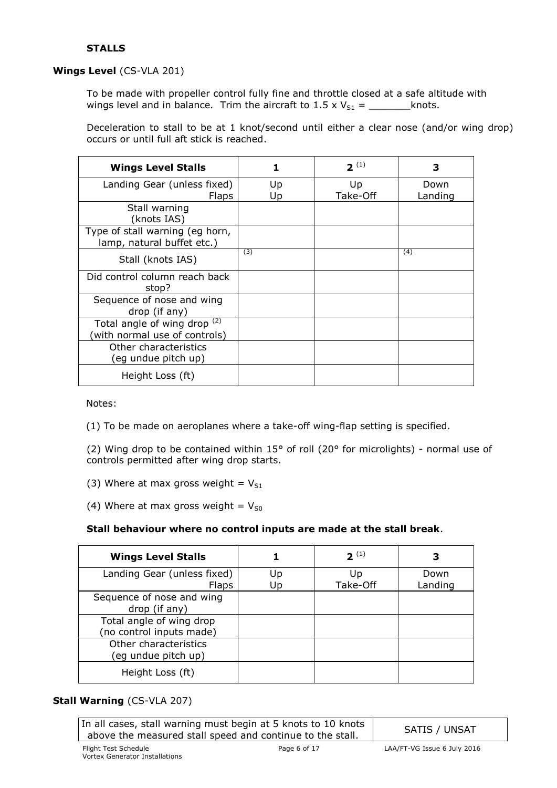# **STALLS**

# **Wings Level** (CS-VLA 201)

To be made with propeller control fully fine and throttle closed at a safe altitude with wings level and in balance. Trim the aircraft to  $1.5 \times V_{S1} =$  \_\_\_\_\_\_\_\_\_\_\_\_knots.

Deceleration to stall to be at 1 knot/second until either a clear nose (and/or wing drop) occurs or until full aft stick is reached.

| <b>Wings Level Stalls</b>                                     | 1        | $2^{(1)}$      | з               |
|---------------------------------------------------------------|----------|----------------|-----------------|
| Landing Gear (unless fixed)<br><b>Flaps</b>                   | Up<br>Up | Up<br>Take-Off | Down<br>Landing |
| Stall warning<br>(knots IAS)                                  |          |                |                 |
| Type of stall warning (eg horn,<br>lamp, natural buffet etc.) |          |                |                 |
| Stall (knots IAS)                                             | (3)      |                | (4)             |
| Did control column reach back<br>stop?                        |          |                |                 |
| Sequence of nose and wing<br>drop (if any)                    |          |                |                 |
| Total angle of wing drop (2)<br>(with normal use of controls) |          |                |                 |
| Other characteristics<br>(eg undue pitch up)                  |          |                |                 |
| Height Loss (ft)                                              |          |                |                 |

Notes:

(1) To be made on aeroplanes where a take-off wing-flap setting is specified.

(2) Wing drop to be contained within 15° of roll (20° for microlights) - normal use of controls permitted after wing drop starts.

(3) Where at max gross weight =  $V_{S1}$ 

(4) Where at max gross weight =  $V_{50}$ 

# **Stall behaviour where no control inputs are made at the stall break**.

| <b>Wings Level Stalls</b>   |    | $2^{(1)}$ | З       |
|-----------------------------|----|-----------|---------|
| Landing Gear (unless fixed) | Up | Up        | Down    |
| <b>Flaps</b>                | Up | Take-Off  | Landing |
| Sequence of nose and wing   |    |           |         |
| drop (if any)               |    |           |         |
| Total angle of wing drop    |    |           |         |
| (no control inputs made)    |    |           |         |
| Other characteristics       |    |           |         |
| (eg undue pitch up)         |    |           |         |
| Height Loss (ft)            |    |           |         |

# **Stall Warning** (CS-VLA 207)

In all cases, stall warning must begin at 5 knots to 10 knots above the measured stall speed and continue to the stall. SATIS / UNSAT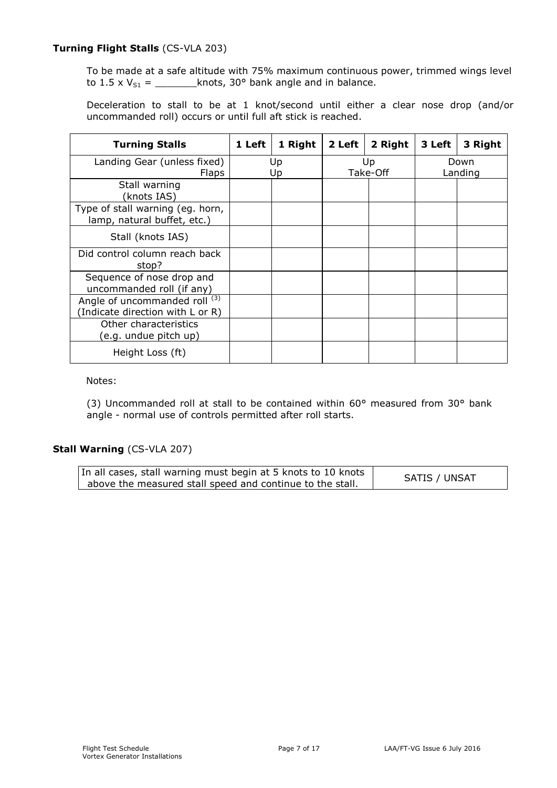# **Turning Flight Stalls** (CS-VLA 203)

To be made at a safe altitude with 75% maximum continuous power, trimmed wings level to  $1.5 \times V_{S1} =$  \_\_\_\_\_\_\_\_\_knots, 30° bank angle and in balance.

Deceleration to stall to be at 1 knot/second until either a clear nose drop (and/or uncommanded roll) occurs or until full aft stick is reached.

| <b>Turning Stalls</b>                                             | 1 Left | 1 Right  | 2 Left | 2 Right        | 3 Left | 3 Right         |
|-------------------------------------------------------------------|--------|----------|--------|----------------|--------|-----------------|
| Landing Gear (unless fixed)<br><b>Flaps</b>                       |        | Up<br>Up |        | Up<br>Take-Off |        | Down<br>Landing |
| Stall warning<br>(knots IAS)                                      |        |          |        |                |        |                 |
| Type of stall warning (eg. horn,<br>lamp, natural buffet, etc.)   |        |          |        |                |        |                 |
| Stall (knots IAS)                                                 |        |          |        |                |        |                 |
| Did control column reach back<br>stop?                            |        |          |        |                |        |                 |
| Sequence of nose drop and<br>uncommanded roll (if any)            |        |          |        |                |        |                 |
| Angle of uncommanded roll (3)<br>(Indicate direction with L or R) |        |          |        |                |        |                 |
| Other characteristics<br>(e.g. undue pitch up)                    |        |          |        |                |        |                 |
| Height Loss (ft)                                                  |        |          |        |                |        |                 |

## Notes:

(3) Uncommanded roll at stall to be contained within 60° measured from 30° bank angle - normal use of controls permitted after roll starts.

# **Stall Warning** (CS-VLA 207)

| In all cases, stall warning must begin at 5 knots to 10 knots | SATIS / UNSAT |
|---------------------------------------------------------------|---------------|
| above the measured stall speed and continue to the stall.     |               |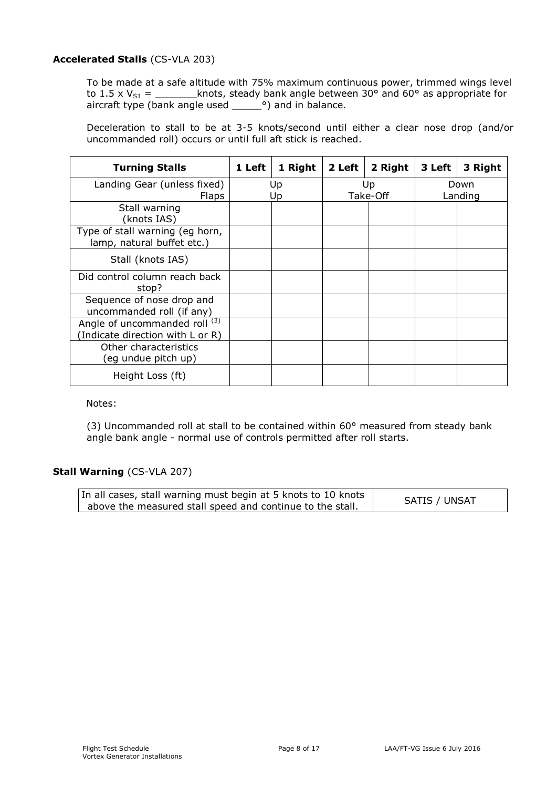# **Accelerated Stalls** (CS-VLA 203)

To be made at a safe altitude with 75% maximum continuous power, trimmed wings level to 1.5 x  $V_{S1}$  = \_\_\_\_\_\_\_\_\_knots, steady bank angle between 30° and 60° as appropriate for aircraft type (bank angle used \_\_\_\_\_\_°) and in balance.

Deceleration to stall to be at 3-5 knots/second until either a clear nose drop (and/or uncommanded roll) occurs or until full aft stick is reached.

| <b>Turning Stalls</b>                                            | 1 Left | 1 Right | 2 Left | 2 Right        | 3 Left | 3 Right         |
|------------------------------------------------------------------|--------|---------|--------|----------------|--------|-----------------|
| Landing Gear (unless fixed)                                      |        | Up      |        | Up<br>Take-Off |        | Down<br>Landing |
| <b>Flaps</b><br>Stall warning<br>(knots IAS)                     |        | Up      |        |                |        |                 |
| Type of stall warning (eg horn,<br>lamp, natural buffet etc.)    |        |         |        |                |        |                 |
| Stall (knots IAS)                                                |        |         |        |                |        |                 |
| Did control column reach back<br>stop?                           |        |         |        |                |        |                 |
| Sequence of nose drop and<br>uncommanded roll (if any)           |        |         |        |                |        |                 |
| Angle of uncommanded roll (3)<br>Indicate direction with L or R) |        |         |        |                |        |                 |
| Other characteristics<br>(eg undue pitch up)                     |        |         |        |                |        |                 |
| Height Loss (ft)                                                 |        |         |        |                |        |                 |

## Notes:

(3) Uncommanded roll at stall to be contained within 60° measured from steady bank angle bank angle - normal use of controls permitted after roll starts.

# **Stall Warning** (CS-VLA 207)

| In all cases, stall warning must begin at 5 knots to 10 knots | SATIS / UNSAT |
|---------------------------------------------------------------|---------------|
| above the measured stall speed and continue to the stall.     |               |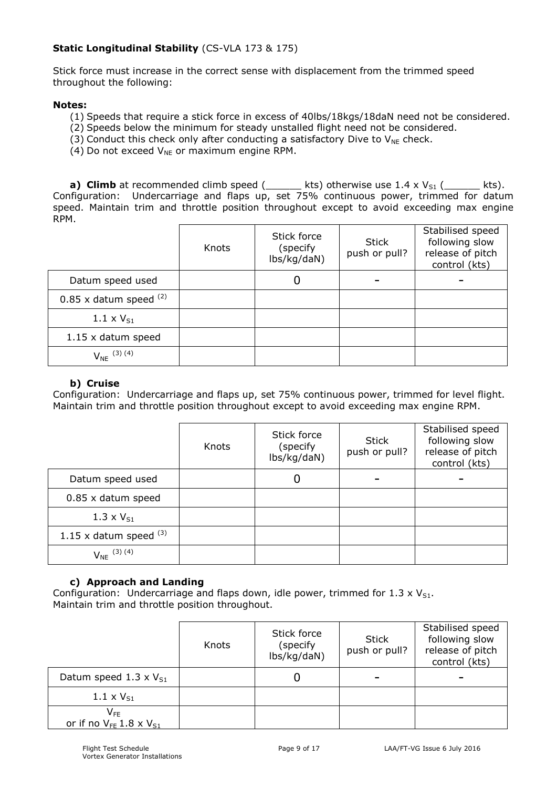# **Static Longitudinal Stability** (CS-VLA 173 & 175)

Stick force must increase in the correct sense with displacement from the trimmed speed throughout the following:

# **Notes:**

- (1) Speeds that require a stick force in excess of 40lbs/18kgs/18daN need not be considered.
- (2) Speeds below the minimum for steady unstalled flight need not be considered.
- (3) Conduct this check only after conducting a satisfactory Dive to  $V_{NF}$  check.
- (4) Do not exceed  $V_{NE}$  or maximum engine RPM.

**a) Climb** at recommended climb speed  $($  kts) otherwise use  $1.4 \times V_{S1}$   $($  \_\_\_\_\_\_ kts). Configuration: Undercarriage and flaps up, set 75% continuous power, trimmed for datum speed. Maintain trim and throttle position throughout except to avoid exceeding max engine RPM.

|                            | Knots | Stick force<br>(specify<br>lbs/kg/daN) | <b>Stick</b><br>push or pull? | Stabilised speed<br>following slow<br>release of pitch<br>control (kts) |
|----------------------------|-------|----------------------------------------|-------------------------------|-------------------------------------------------------------------------|
| Datum speed used           |       | 0                                      |                               |                                                                         |
| $0.85$ x datum speed $(2)$ |       |                                        |                               |                                                                         |
| 1.1 $\times$ $V_{S1}$      |       |                                        |                               |                                                                         |
| 1.15 x datum speed         |       |                                        |                               |                                                                         |
| $V_{NE}$ (3) (4)           |       |                                        |                               |                                                                         |

## **b) Cruise**

Configuration: Undercarriage and flaps up, set 75% continuous power, trimmed for level flight. Maintain trim and throttle position throughout except to avoid exceeding max engine RPM.

|                          | Knots | Stick force<br>(specify)<br>lbs/kg/daN) | Stick<br>push or pull? | Stabilised speed<br>following slow<br>release of pitch<br>control (kts) |
|--------------------------|-------|-----------------------------------------|------------------------|-------------------------------------------------------------------------|
| Datum speed used         |       | 0                                       |                        |                                                                         |
| $0.85$ x datum speed     |       |                                         |                        |                                                                         |
| 1.3 x $V_{S1}$           |       |                                         |                        |                                                                         |
| 1.15 x datum speed $(3)$ |       |                                         |                        |                                                                         |
| $V_{NE}$ (3) (4)         |       |                                         |                        |                                                                         |

# **c) Approach and Landing**

Configuration: Undercarriage and flaps down, idle power, trimmed for  $1.3 \times V_{S1}$ . Maintain trim and throttle position throughout.

|                                                                | Knots | Stick force<br>(specify<br>lbs/kg/daN) | <b>Stick</b><br>push or pull? | Stabilised speed<br>following slow<br>release of pitch<br>control (kts) |
|----------------------------------------------------------------|-------|----------------------------------------|-------------------------------|-------------------------------------------------------------------------|
| Datum speed 1.3 x $V_{S1}$                                     |       |                                        |                               |                                                                         |
| 1.1 $\times$ $V_{S1}$                                          |       |                                        |                               |                                                                         |
| $\mathsf{V}_{\mathsf{FE}}$<br>or if no $V_{FE}$ 1.8 x $V_{S1}$ |       |                                        |                               |                                                                         |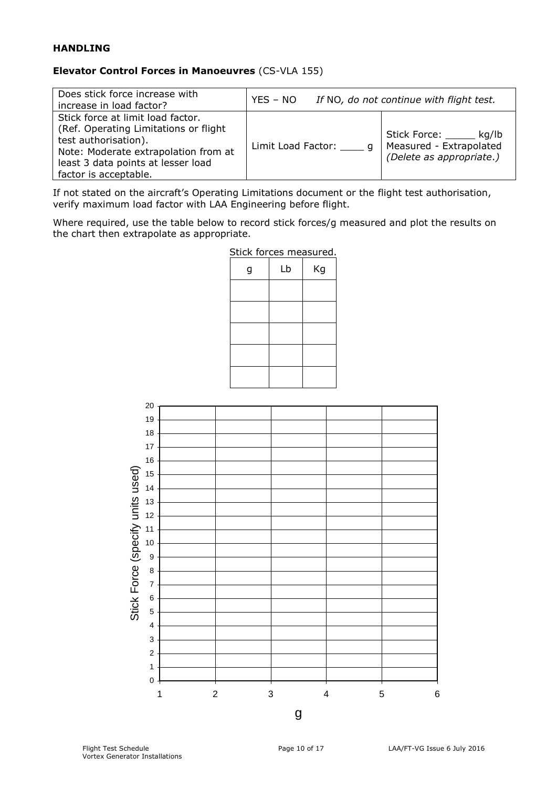# **HANDLING**

# **Elevator Control Forces in Manoeuvres** (CS-VLA 155)

| Does stick force increase with<br>increase in load factor?                                                                                                                                                 | $YES - NO$           | If NO, do not continue with flight test.                                  |
|------------------------------------------------------------------------------------------------------------------------------------------------------------------------------------------------------------|----------------------|---------------------------------------------------------------------------|
| Stick force at limit load factor.<br>(Ref. Operating Limitations or flight)<br>test authorisation).<br>Note: Moderate extrapolation from at<br>least 3 data points at lesser load<br>factor is acceptable. | Limit Load Factor: q | Stick Force: kg/lb<br>Measured - Extrapolated<br>(Delete as appropriate.) |

If not stated on the aircraft's Operating Limitations document or the flight test authorisation, verify maximum load factor with LAA Engineering before flight.

Where required, use the table below to record stick forces/g measured and plot the results on the chart then extrapolate as appropriate.



Stick forces measured.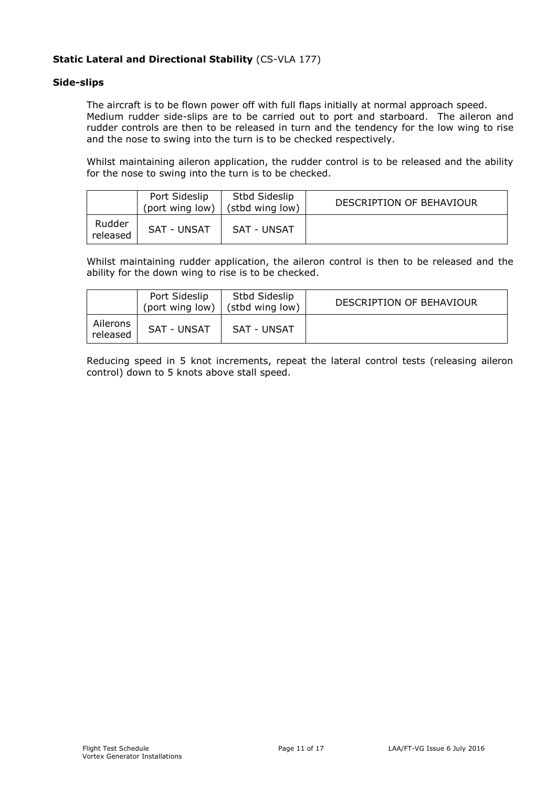# **Static Lateral and Directional Stability** (CS-VLA 177)

## **Side-slips**

The aircraft is to be flown power off with full flaps initially at normal approach speed. Medium rudder side-slips are to be carried out to port and starboard. The aileron and rudder controls are then to be released in turn and the tendency for the low wing to rise and the nose to swing into the turn is to be checked respectively.

Whilst maintaining aileron application, the rudder control is to be released and the ability for the nose to swing into the turn is to be checked.

|                    | Port Sideslip<br>(port wing low) | Stbd Sideslip<br>(stbd wing low) | DESCRIPTION OF BEHAVIOUR |
|--------------------|----------------------------------|----------------------------------|--------------------------|
| Rudder<br>released | SAT - UNSAT                      | SAT - UNSAT                      |                          |

Whilst maintaining rudder application, the aileron control is then to be released and the ability for the down wing to rise is to be checked.

|                      | Port Sideslip<br>(port wing low) | Stbd Sideslip<br>(stbd wing low) | DESCRIPTION OF BEHAVIOUR |
|----------------------|----------------------------------|----------------------------------|--------------------------|
| Ailerons<br>released | <b>SAT - UNSAT</b>               | <b>SAT - UNSAT</b>               |                          |

Reducing speed in 5 knot increments, repeat the lateral control tests (releasing aileron control) down to 5 knots above stall speed.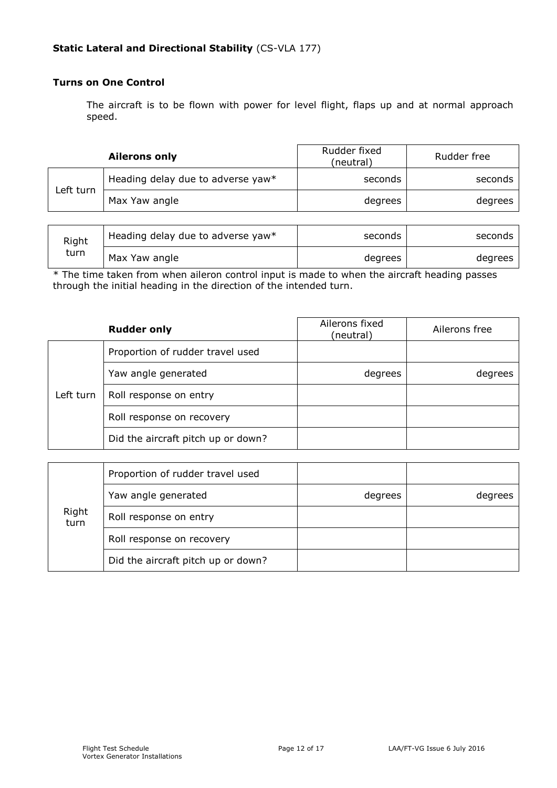# **Turns on One Control**

The aircraft is to be flown with power for level flight, flaps up and at normal approach speed.

|           | <b>Ailerons only</b>              | Rudder fixed<br>(neutral) | Rudder free |
|-----------|-----------------------------------|---------------------------|-------------|
| ∟eft turn | Heading delay due to adverse yaw* | seconds                   | seconds     |
|           | Max Yaw angle                     | degrees                   | degrees     |

| Right | Heading delay due to adverse yaw* | seconds | seconds l |
|-------|-----------------------------------|---------|-----------|
| turn  | Max Yaw angle                     | degrees | degrees   |

\* The time taken from when aileron control input is made to when the aircraft heading passes through the initial heading in the direction of the intended turn.

|           | <b>Rudder only</b>                 | Ailerons fixed<br>(neutral) | Ailerons free |
|-----------|------------------------------------|-----------------------------|---------------|
|           | Proportion of rudder travel used   |                             |               |
|           | Yaw angle generated                | degrees                     | degrees       |
| Left turn | Roll response on entry             |                             |               |
|           | Roll response on recovery          |                             |               |
|           | Did the aircraft pitch up or down? |                             |               |

|               | Proportion of rudder travel used   |         |         |
|---------------|------------------------------------|---------|---------|
|               | Yaw angle generated                | degrees | degrees |
| Right<br>turn | Roll response on entry             |         |         |
|               | Roll response on recovery          |         |         |
|               | Did the aircraft pitch up or down? |         |         |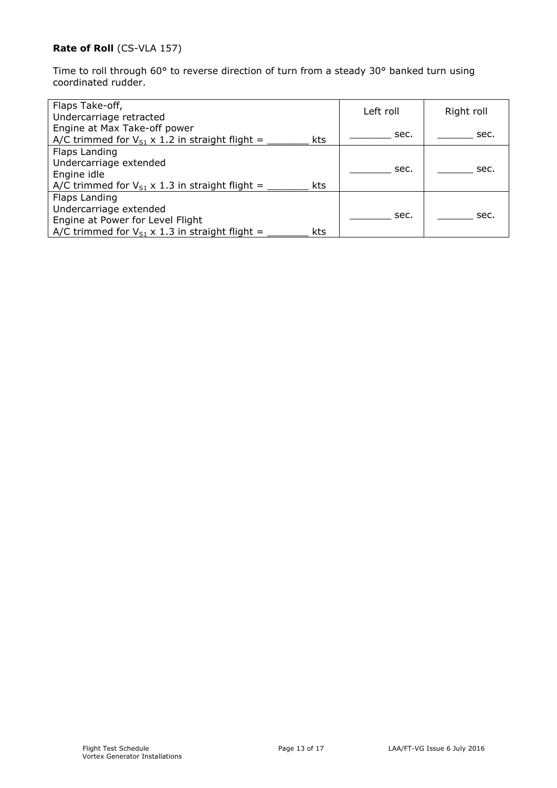# **Rate of Roll** (CS-VLA 157)

Time to roll through 60° to reverse direction of turn from a steady 30° banked turn using coordinated rudder.

| Flaps Take-off,<br>Undercarriage retracted                                                             | Left roll | Right roll |
|--------------------------------------------------------------------------------------------------------|-----------|------------|
| Engine at Max Take-off power<br>A/C trimmed for $V_{S1} \times 1.2$ in straight flight =<br><b>kts</b> | sec.      | sec.       |
| Flaps Landing                                                                                          |           |            |
| Undercarriage extended                                                                                 | sec.      |            |
| Engine idle                                                                                            |           | sec.       |
| A/C trimmed for $V_{S1} \times 1.3$ in straight flight =<br><b>kts</b>                                 |           |            |
| Flaps Landing                                                                                          |           |            |
| Undercarriage extended                                                                                 |           |            |
| Engine at Power for Level Flight                                                                       | sec.      | sec.       |
| A/C trimmed for $V_{S1} \times 1.3$ in straight flight =<br>kts                                        |           |            |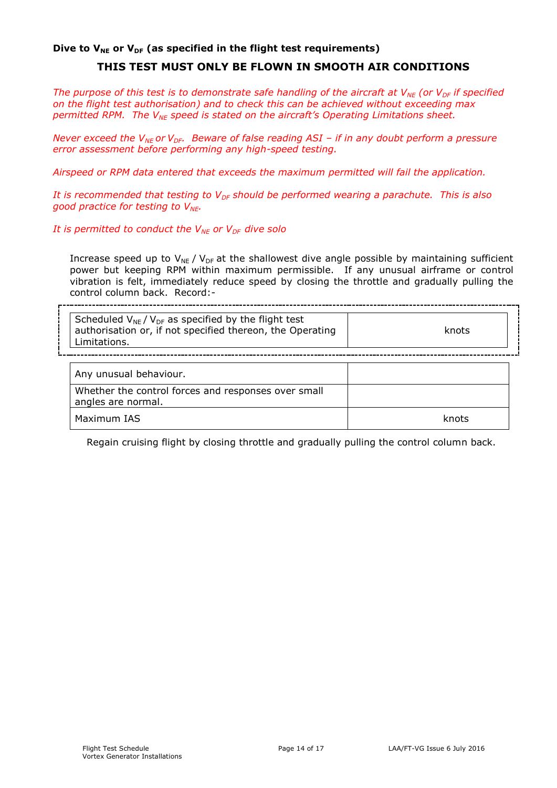## Dive to V<sub>NE</sub> or V<sub>DF</sub> (as specified in the flight test requirements)

# **THIS TEST MUST ONLY BE FLOWN IN SMOOTH AIR CONDITIONS**

*The purpose of this test is to demonstrate safe handling of the aircraft at V<sub>NE</sub> (or V<sub>DF</sub> if specified on the flight test authorisation) and to check this can be achieved without exceeding max permitted RPM. The VNE speed is stated on the aircraft's Operating Limitations sheet.*

*Never exceed the V<sub>NE</sub>* or V<sub>DF</sub>. Beware of false reading ASI – if in any doubt perform a pressure *error assessment before performing any high-speed testing.*

*Airspeed or RPM data entered that exceeds the maximum permitted will fail the application.*

*It is recommended that testing to V<sub>DF</sub> should be performed wearing a parachute. This is also good practice for testing to VNE.*

*It is permitted to conduct the V<sub>NE</sub> or V<sub>DF</sub> dive solo* 

Increase speed up to  $V_{NE}$  /  $V_{DF}$  at the shallowest dive angle possible by maintaining sufficient power but keeping RPM within maximum permissible. If any unusual airframe or control vibration is felt, immediately reduce speed by closing the throttle and gradually pulling the control column back. Record:-

| Scheduled $V_{NE} / V_{DF}$ as specified by the flight test<br>authorisation or, if not specified thereon, the Operating<br>Limitations. | knots |
|------------------------------------------------------------------------------------------------------------------------------------------|-------|
| Any unusual behaviour.                                                                                                                   |       |
| Whether the control forces and responses over small<br>angles are normal.                                                                |       |
| Maximum IAS                                                                                                                              | knots |

Regain cruising flight by closing throttle and gradually pulling the control column back.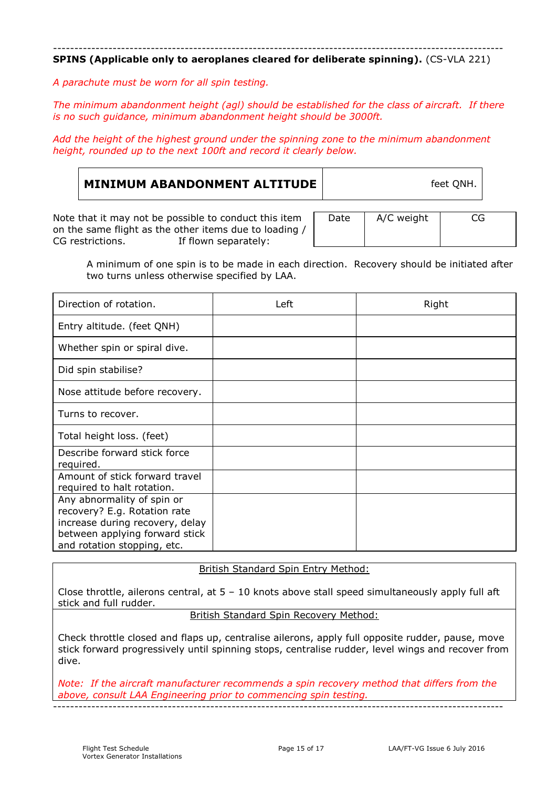#### ---------------------------------------------------------------------------------------------------------- **SPINS (Applicable only to aeroplanes cleared for deliberate spinning).** (CS-VLA 221)

*A parachute must be worn for all spin testing.*

*The minimum abandonment height (agl) should be established for the class of aircraft. If there is no such guidance, minimum abandonment height should be 3000ft.*

*Add the height of the highest ground under the spinning zone to the minimum abandonment height, rounded up to the next 100ft and record it clearly below.*

| <b>MINIMUM ABANDONMENT ALTITUDE</b> | feet QNH. |  |
|-------------------------------------|-----------|--|
|                                     |           |  |

Note that it may not be possible to conduct this item on the same flight as the other items due to loading / CG restrictions. If flown separately: If flown separately: Date | A/C weight | CG

A minimum of one spin is to be made in each direction. Recovery should be initiated after two turns unless otherwise specified by LAA.

| Direction of rotation.                                                                                                                                         | Left | Right |
|----------------------------------------------------------------------------------------------------------------------------------------------------------------|------|-------|
| Entry altitude. (feet QNH)                                                                                                                                     |      |       |
| Whether spin or spiral dive.                                                                                                                                   |      |       |
| Did spin stabilise?                                                                                                                                            |      |       |
| Nose attitude before recovery.                                                                                                                                 |      |       |
| Turns to recover.                                                                                                                                              |      |       |
| Total height loss. (feet)                                                                                                                                      |      |       |
| Describe forward stick force<br>required.                                                                                                                      |      |       |
| Amount of stick forward travel<br>required to halt rotation.                                                                                                   |      |       |
| Any abnormality of spin or<br>recovery? E.g. Rotation rate<br>increase during recovery, delay<br>between applying forward stick<br>and rotation stopping, etc. |      |       |

## British Standard Spin Entry Method:

Close throttle, ailerons central, at  $5 - 10$  knots above stall speed simultaneously apply full aft stick and full rudder.

British Standard Spin Recovery Method:

Check throttle closed and flaps up, centralise ailerons, apply full opposite rudder, pause, move stick forward progressively until spinning stops, centralise rudder, level wings and recover from dive.

*Note: If the aircraft manufacturer recommends a spin recovery method that differs from the above, consult LAA Engineering prior to commencing spin testing.* ----------------------------------------------------------------------------------------------------------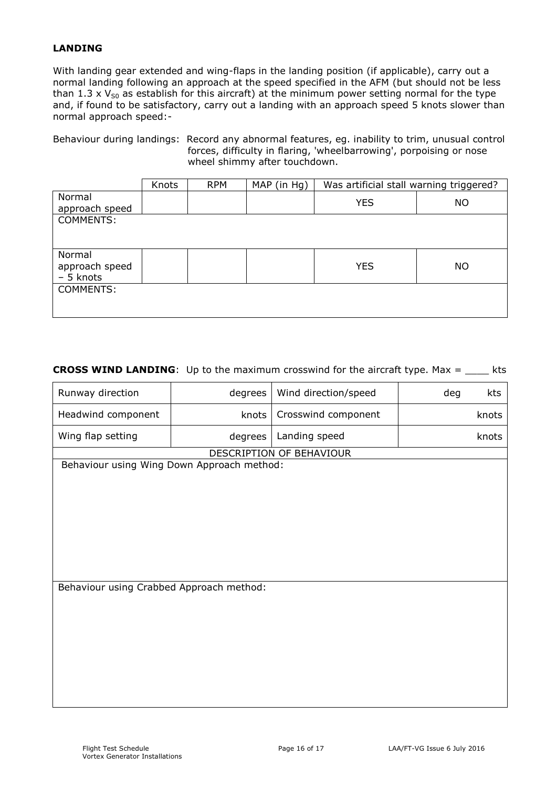# **LANDING**

With landing gear extended and wing-flaps in the landing position (if applicable), carry out a normal landing following an approach at the speed specified in the AFM (but should not be less than 1.3 x  $V_{50}$  as establish for this aircraft) at the minimum power setting normal for the type and, if found to be satisfactory, carry out a landing with an approach speed 5 knots slower than normal approach speed:-

Behaviour during landings: Record any abnormal features, eg. inability to trim, unusual control forces, difficulty in flaring, 'wheelbarrowing', porpoising or nose wheel shimmy after touchdown.

|                                       | Knots | <b>RPM</b> | MAP (in Hg) | Was artificial stall warning triggered? |           |
|---------------------------------------|-------|------------|-------------|-----------------------------------------|-----------|
| Normal<br>approach speed              |       |            |             | <b>YES</b>                              | <b>NO</b> |
| COMMENTS:                             |       |            |             |                                         |           |
|                                       |       |            |             |                                         |           |
| Normal<br>approach speed<br>- 5 knots |       |            |             | <b>YES</b>                              | NO.       |
| COMMENTS:                             |       |            |             |                                         |           |

## **CROSS WIND LANDING**: Up to the maximum crosswind for the aircraft type. Max = \_\_\_\_ kts

| Runway direction                           | degrees                                  | Wind direction/speed     | deg<br>kts |  |  |  |  |
|--------------------------------------------|------------------------------------------|--------------------------|------------|--|--|--|--|
| Headwind component                         | knots                                    | Crosswind component      | knots      |  |  |  |  |
| Wing flap setting                          | degrees                                  | Landing speed            | knots      |  |  |  |  |
|                                            |                                          | DESCRIPTION OF BEHAVIOUR |            |  |  |  |  |
| Behaviour using Wing Down Approach method: |                                          |                          |            |  |  |  |  |
|                                            |                                          |                          |            |  |  |  |  |
|                                            |                                          |                          |            |  |  |  |  |
|                                            |                                          |                          |            |  |  |  |  |
|                                            |                                          |                          |            |  |  |  |  |
|                                            |                                          |                          |            |  |  |  |  |
|                                            |                                          |                          |            |  |  |  |  |
|                                            |                                          |                          |            |  |  |  |  |
|                                            |                                          |                          |            |  |  |  |  |
|                                            | Behaviour using Crabbed Approach method: |                          |            |  |  |  |  |
|                                            |                                          |                          |            |  |  |  |  |
|                                            |                                          |                          |            |  |  |  |  |
|                                            |                                          |                          |            |  |  |  |  |
|                                            |                                          |                          |            |  |  |  |  |
|                                            |                                          |                          |            |  |  |  |  |
|                                            |                                          |                          |            |  |  |  |  |
|                                            |                                          |                          |            |  |  |  |  |
|                                            |                                          |                          |            |  |  |  |  |